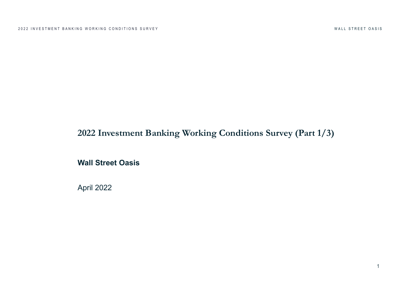# **2022 Investment Banking Working Conditions Survey (Part 1/3)**

**Wall Street Oasis**

April 2022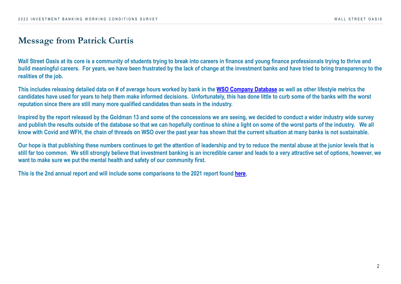2022 INVESTMENT BANKING WORKING CONDITIONS SURVEY

#### **Message from Patrick Curtis**

**Wall Street Oasis at its core is a community of students trying to break into careers in finance and young finance build meaningful careers.** For years, we have been frustrated by the lack of change at the investment banks and have to bring the strange to the investment banks and have the investment banks and have the stranger of the **realities of the job.**

This includes releasing detailed data on # of average hours worked by bank in the WSO Company Database as we candidates have used for years to help them make informed decisions. Unfortunately, this has done little to curb **reputation since there are still many more qualified candidates than seats in the industry.**

Inspired by the report released by the Goldman 13 and some of the concessions we are seeing, we decided to cor and publish the results outside of the database so that we can hopefully continue to shine a light on some of the i know with Covid and WFH, the chain of threads on WSO over the past year has shown that the current situation a

**Our hope is that publishing these numbers continues to get the attention of leadership and try to reduce the ment** still far too common. We still strongly believe that investment banking is an incredible career and leads to a very **want to make sure we put the mental health and safety of our community first.**

**This is the 2nd annual report and will include some comparisons to the 2021 report found here.**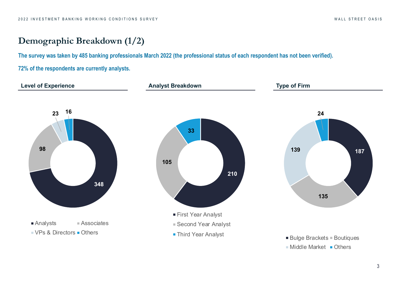## **Demographic Breakdown (1/2)**

**The survey was taken by 485 banking professionals March 2022 (the professional status of each respondent has not been verified).**

**72% of the respondents are currently analysts.**

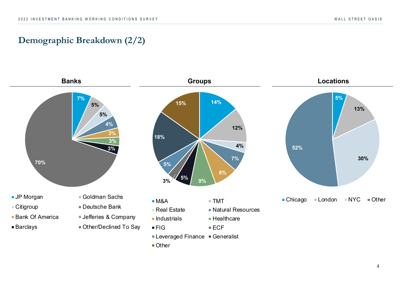### **Demographic Breakdown (2/2)**

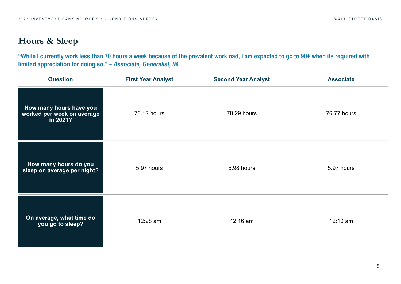### **Hours & Sleep**

**"While I currently work less than 70 hours a week because of the prevalent workload, I am expected to go to 90+ when its required with limited appreciation for doing so."** *– Associate, Generalist, IB*

| <b>Question</b>                                                   | <b>First Year Analyst</b> | <b>Second Year Analyst</b> | <b>Associate</b> |
|-------------------------------------------------------------------|---------------------------|----------------------------|------------------|
| How many hours have you<br>worked per week on average<br>in 2021? | 78.12 hours               | 78.29 hours                | 76.77 hours      |
| How many hours do you<br>sleep on average per night?              | 5.97 hours                | 5.98 hours                 | 5.97 hours       |
| On average, what time do<br>you go to sleep?                      | 12:28 am                  | 12:16 am                   | $12:10$ am       |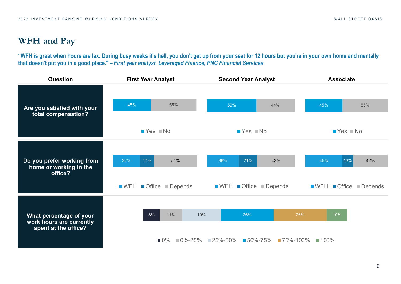## **WFH and Pay**

**"WFH is great when hours are lax. During busy weeks it's hell, you don't get up from your seat for 12 hours but you're in your own home and mentally that doesn't put you in a good place."** *– First year analyst, Leveraged Finance, PNC Financial Services*

| Question                                                                    | <b>First Year Analyst</b>                                                            | <b>Second Year Analyst</b>                                                                         | <b>Associate</b>                                                                     |  |  |  |  |
|-----------------------------------------------------------------------------|--------------------------------------------------------------------------------------|----------------------------------------------------------------------------------------------------|--------------------------------------------------------------------------------------|--|--|--|--|
| Are you satisfied with your<br>total compensation?                          | 45%<br>55%<br>$Yes$ No                                                               | 56%<br>44%<br>$Yes$ No                                                                             | 45%<br>55%<br>$Yes$ Mo                                                               |  |  |  |  |
| Do you prefer working from<br>home or working in the<br>office?             | 32%<br>17%<br>51%<br>$\blacksquare$ WFH $\blacksquare$ Office $\blacksquare$ Depends | 36%<br>21%<br>43%<br>$\blacksquare$ WFH $\blacksquare$ Office $\blacksquare$ Depends               | 45%<br>13%<br>42%<br>$\blacksquare$ WFH $\blacksquare$ Office $\blacksquare$ Depends |  |  |  |  |
| What percentage of your<br>work hours are currently<br>spent at the office? | 8%<br>11%<br>19%<br>$\blacksquare$ 0%                                                | 26%<br>$\blacksquare$ 0%-25% $\blacksquare$ 25%-50% $\blacksquare$ 50%-75% $\blacksquare$ 75%-100% | 26%<br>10%<br>$100\%$                                                                |  |  |  |  |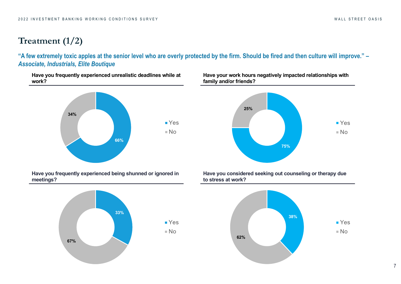## **Treatment (1/2)**

**"A few extremely toxic apples at the senior level who are overly protected by the firm. Should be fired and then culture will improve."** *– Associate, Industrials, Elite Boutique*

**Have you frequently experienced unrealistic deadlines while at work?**



**Have you frequently experienced being shunned or ignored in meetings?**



**Have your work hours negatively impacted relationships with family and/or friends?**



**Have you considered seeking out counseling or therapy due to stress at work?**

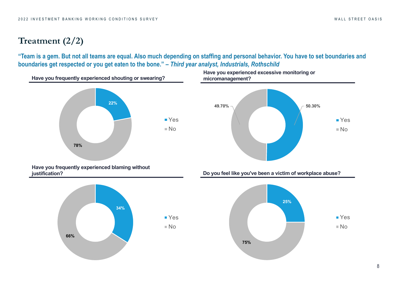## **Treatment (2/2)**

**"Team is a gem. But not all teams are equal. Also much depending on staffing and personal behavior. You have to set boundaries and boundaries get respected or you get eaten to the bone."** *– Third year analyst, Industrials, Rothschild*

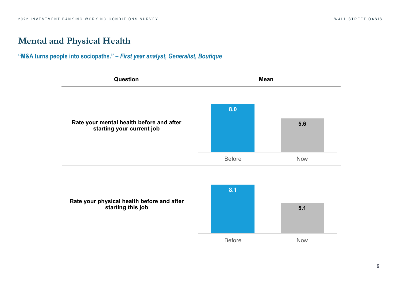#### **Mental and Physical Health**

#### **"M&A turns people into sociopaths."** *– First year analyst, Generalist, Boutique*



**Rate your physical health before and after starting this job**

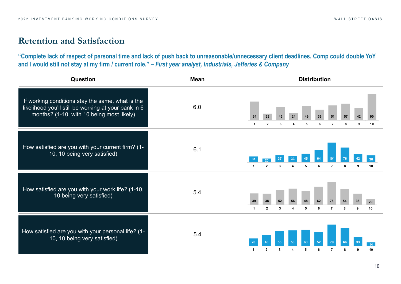#### **Retention and Satisfaction**

**"Complete lack of respect of personal time and lack of push back to unreasonable/unnecessary client deadlines. Comp could double YoY and I would still not stay at my firm / current role."** *– First year analyst, Industrials, Jefferies & Company*

| <b>Question</b>                                                                                                                                       | <b>Mean</b>               | <b>Distribution</b>  |                               |         |   |         |                      |         |         |          |
|-------------------------------------------------------------------------------------------------------------------------------------------------------|---------------------------|----------------------|-------------------------------|---------|---|---------|----------------------|---------|---------|----------|
| If working conditions stay the same, what is the<br>likelihood you'll still be working at your bank in 6<br>months? (1-10, with 10 being most likely) | 6.0<br>64<br>-1           | 23<br>$\overline{2}$ | 3                             | 24      | 5 | 36<br>6 | 51<br>$\overline{7}$ | 57<br>8 | 42<br>9 | 10       |
| How satisfied are you with your current firm? (1-<br>10, 10 being very satisfied)                                                                     | 6.1<br>$\mathbf{1}$       | 2                    | 3                             |         |   | 6       | $\overline{7}$       | 8       | 9       | 10       |
| How satisfied are you with your work life? (1-10,<br>10 being very satisfied)                                                                         | 5.4<br>39<br>$\mathbf{1}$ | 38<br>$\overline{2}$ | 52<br>$\overline{\mathbf{3}}$ | 56<br>4 | 5 | 62<br>6 | $\overline{7}$       | 8       | 38<br>9 | 20<br>10 |
| How satisfied are you with your personal life? (1-<br>10, 10 being very satisfied)                                                                    | 5.4<br>$\mathbf{1}$       | $\mathbf{2}$         | 3                             | 4       | 5 | 52<br>6 | 79<br>7              | 8       | 9       | 10       |